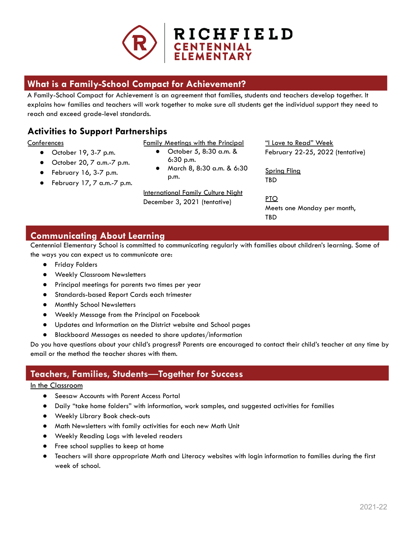

# **What is a Family-School Compact for Achievement?**

A Family-School Compact for Achievement is an agreement that families, students and teachers develop together. It explains how families and teachers will work together to make sure all students get the individual support they need to reach and exceed grade-level standards.

# **Activities to Support Partnerships**

### **Conferences**

- October 19, 3-7 p.m.
- October 20, 7 a.m.-7 p.m.
- $\bullet$  February 16, 3-7 p.m.
- February 17, 7 a.m.-7 p.m.
- Family Meetings with the Principal
	- October 5, 8:30 a.m. & 6:30 p.m.
	- March 8, 8:30 a.m. & 6:30 p.m.

International Family Culture Night December 3, 2021 (tentative)

"I Love to Read" Week February 22-25, 2022 (tentative)

Spring Fling TBD

PTO Meets one Monday per month, TBD

# **Communicating About Learning**

Centennial Elementary School is committed to communicating regularly with families about children's learning. Some of the ways you can expect us to communicate are:

- Friday Folders
- Weekly Classroom Newsletters
- Principal meetings for parents two times per year
- Standards-based Report Cards each trimester
- Monthly School Newsletters
- Weekly Message from the Principal on Facebook
- Updates and Information on the District website and School pages
- Blackboard Messages as needed to share updates/information

Do you have questions about your child's progress? Parents are encouraged to contact their child's teacher at any time by email or the method the teacher shares with them.

## **Teachers, Families, Students**—**Together for Success**

### In the Classroom

- Seesaw Accounts with Parent Access Portal
- Daily "take home folders" with information, work samples, and suggested activities for families
- Weekly Library Book check-outs
- Math Newsletters with family activities for each new Math Unit
- Weekly Reading Logs with leveled readers
- Free school supplies to keep at home
- Teachers will share appropriate Math and Literacy websites with login information to families during the first week of school.